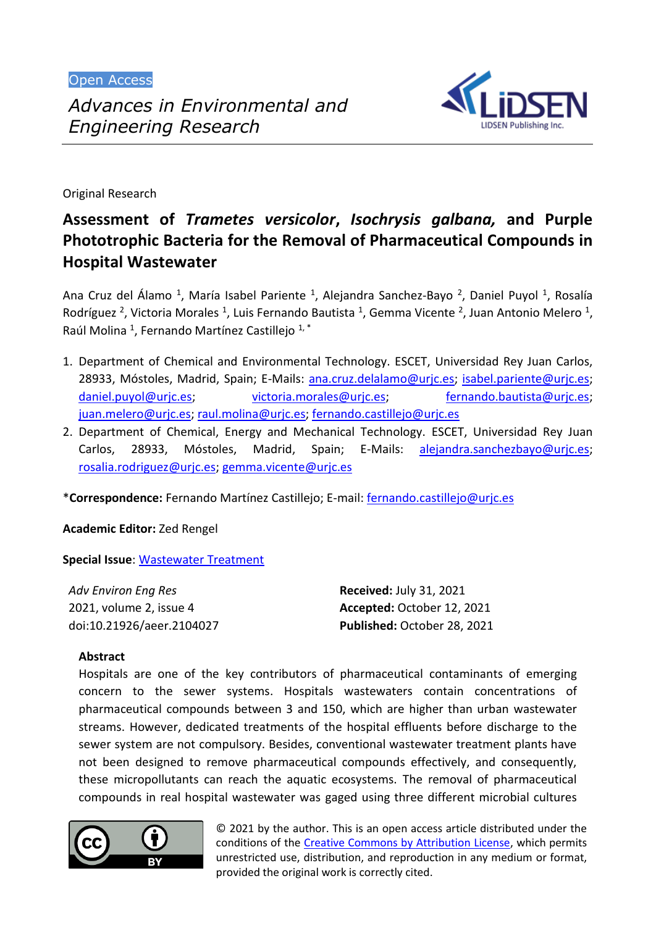Open Access



Original Research

# **Assessment of** *Trametes versicolor***,** *Isochrysis galbana,* **and Purple Phototrophic Bacteria for the Removal of Pharmaceutical Compounds in Hospital Wastewater**

Ana Cruz del Álamo <sup>1</sup>, María Isabel Pariente <sup>1</sup>, Alejandra Sanchez-Bayo <sup>2</sup>, Daniel Puyol <sup>1</sup>, Rosalía Rodríguez<sup>2</sup>, Victoria Morales<sup>1</sup>, Luis Fernando Bautista<sup>1</sup>, Gemma Vicente<sup>2</sup>, Juan Antonio Melero<sup>1</sup>, Raúl Molina<sup>1</sup>, Fernando Martínez Castillejo<sup>1,\*</sup>

- 1. Department of Chemical and Environmental Technology. ESCET, Universidad Rey Juan Carlos, 28933, Móstoles, Madrid, Spain; E-Mails: [ana.cruz.delalamo@urjc.es;](mailto:ana.cruz.delalamo@urjc.es) [isabel.pariente@urjc.es;](mailto:isabel.pariente@urjc.es) [daniel.puyol@urjc.es;](mailto:daniel.puyol@urjc.es) [victoria.morales@urjc.es;](mailto:victoria.morales@urjc.es) [fernando.bautista@urjc.es;](mailto:fernando.bautista@urjc.es) [juan.melero@urjc.es;](mailto:juan.melero@urjc.es) [raul.molina@urjc.es;](mailto:raul.molina@urjc.es) [fernando.castillejo@urjc.es](mailto:fernando.castillejo@urjc.es)
- 2. Department of Chemical, Energy and Mechanical Technology. ESCET, Universidad Rey Juan Carlos, 28933, Móstoles, Madrid, Spain; E-Mails: [alejandra.sanchezbayo@urjc.es;](mailto:alejandra.sanchezbayo@urjc.es) [rosalia.rodriguez@urjc.es;](mailto:rosalia.rodriguez@urjc.es) [gemma.vicente@urjc.es](mailto:gemma.vicente@urjc.es)

\***Correspondence:** Fernando Martínez Castillejo; E-mail: [fernando.castillejo@urjc.es](mailto:fernando.castillejo@urjc.es)

**Academic Editor:** Zed Rengel

**Special Issue**: [Wastewater Treatment](https://www.lidsen.com/journals/aeer/aeer-special-issues/wastewater-treatment)

| <b>Adv Environ Eng Res</b> | <b>Received: July 31, 2021</b> |
|----------------------------|--------------------------------|
| 2021, volume 2, issue 4    | Accepted: October 12, 2021     |
| doi:10.21926/aeer.2104027  | Published: October 28, 2021    |

# **Abstract**

Hospitals are one of the key contributors of pharmaceutical contaminants of emerging concern to the sewer systems. Hospitals wastewaters contain concentrations of pharmaceutical compounds between 3 and 150, which are higher than urban wastewater streams. However, dedicated treatments of the hospital effluents before discharge to the sewer system are not compulsory. Besides, conventional wastewater treatment plants have not been designed to remove pharmaceutical compounds effectively, and consequently, these micropollutants can reach the aquatic ecosystems. The removal of pharmaceutical compounds in real hospital wastewater was gaged using three different microbial cultures



© 2021 by the author. This is an open access article distributed under the conditions of the [Creative Commons by Attribution License,](http://creativecommons.org/licenses/by/4.0/) which permits unrestricted use, distribution, and reproduction in any medium or format, provided the original work is correctly cited.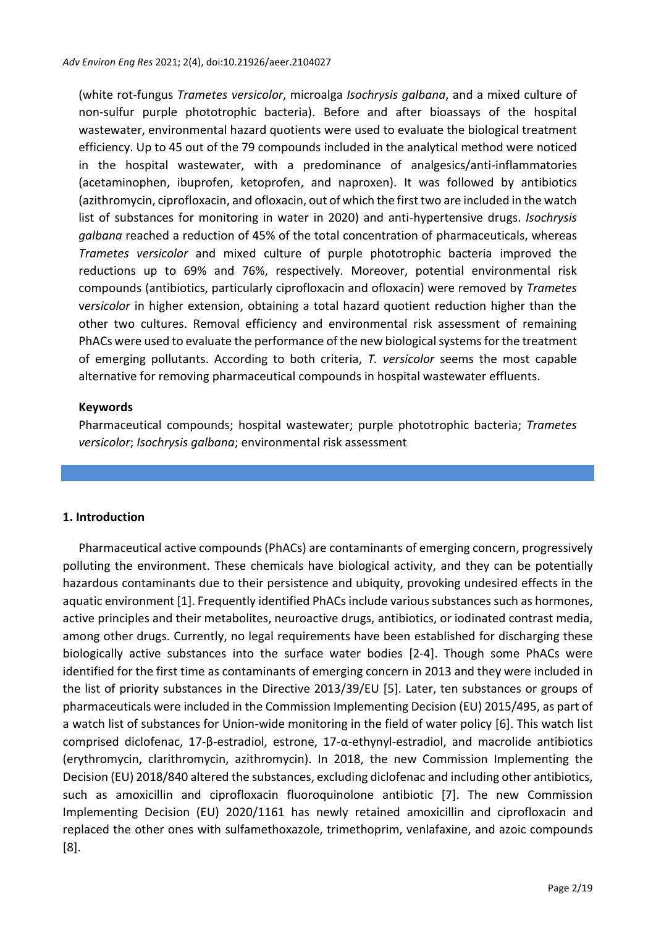(white rot-fungus *Trametes versicolor*, microalga *Isochrysis galbana*, and a mixed culture of non-sulfur purple phototrophic bacteria). Before and after bioassays of the hospital wastewater, environmental hazard quotients were used to evaluate the biological treatment efficiency. Up to 45 out of the 79 compounds included in the analytical method were noticed in the hospital wastewater, with a predominance of analgesics/anti-inflammatories (acetaminophen, ibuprofen, ketoprofen, and naproxen). It was followed by antibiotics (azithromycin, ciprofloxacin, and ofloxacin, out of which the first two are included in the watch list of substances for monitoring in water in 2020) and anti-hypertensive drugs. *Isochrysis galbana* reached a reduction of 45% of the total concentration of pharmaceuticals, whereas *Trametes versicolor* and mixed culture of purple phototrophic bacteria improved the reductions up to 69% and 76%, respectively. Moreover, potential environmental risk compounds (antibiotics, particularly ciprofloxacin and ofloxacin) were removed by *Trametes* v*ersicolor* in higher extension, obtaining a total hazard quotient reduction higher than the other two cultures. Removal efficiency and environmental risk assessment of remaining PhACs were used to evaluate the performance ofthe new biological systemsfor the treatment of emerging pollutants. According to both criteria, *T. versicolor* seems the most capable alternative for removing pharmaceutical compounds in hospital wastewater effluents.

#### **Keywords**

Pharmaceutical compounds; hospital wastewater; purple phototrophic bacteria; *Trametes versicolor*; *Isochrysis galbana*; environmental risk assessment

# **1. Introduction**

Pharmaceutical active compounds (PhACs) are contaminants of emerging concern, progressively polluting the environment. These chemicals have biological activity, and they can be potentially hazardous contaminants due to their persistence and ubiquity, provoking undesired effects in the aquatic environment [1]. Frequently identified PhACs include varioussubstances such as hormones, active principles and their metabolites, neuroactive drugs, antibiotics, or iodinated contrast media, among other drugs. Currently, no legal requirements have been established for discharging these biologically active substances into the surface water bodies [2-4]. Though some PhACs were identified for the first time as contaminants of emerging concern in 2013 and they were included in the list of priority substances in the Directive 2013/39/EU [5]. Later, ten substances or groups of pharmaceuticals were included in the Commission Implementing Decision (EU) 2015/495, as part of a watch list of substances for Union-wide monitoring in the field of water policy [6]. This watch list comprised diclofenac, 17-β-estradiol, estrone, 17-α-ethynyl-estradiol, and macrolide antibiotics (erythromycin, clarithromycin, azithromycin). In 2018, the new Commission Implementing the Decision (EU) 2018/840 altered the substances, excluding diclofenac and including other antibiotics, such as amoxicillin and ciprofloxacin fluoroquinolone antibiotic [7]. The new Commission Implementing Decision (EU) 2020/1161 has newly retained amoxicillin and ciprofloxacin and replaced the other ones with sulfamethoxazole, trimethoprim, venlafaxine, and azoic compounds [8].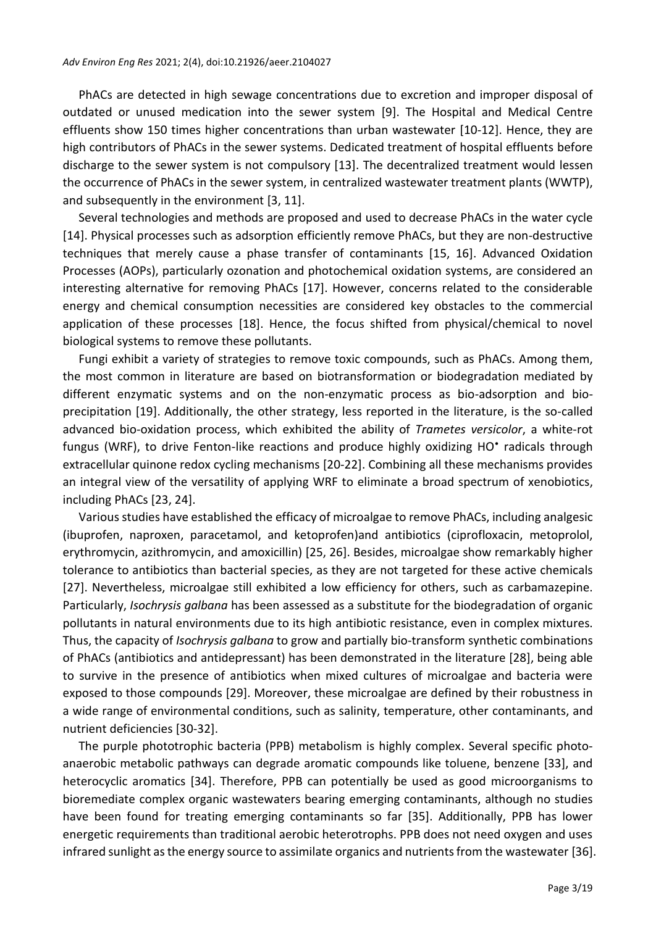PhACs are detected in high sewage concentrations due to excretion and improper disposal of outdated or unused medication into the sewer system [9]. The Hospital and Medical Centre effluents show 150 times higher concentrations than urban wastewater [10-12]. Hence, they are high contributors of PhACs in the sewer systems. Dedicated treatment of hospital effluents before discharge to the sewer system is not compulsory [13]. The decentralized treatment would lessen the occurrence of PhACs in the sewer system, in centralized wastewater treatment plants (WWTP), and subsequently in the environment [3, 11].

Several technologies and methods are proposed and used to decrease PhACs in the water cycle [14]. Physical processes such as adsorption efficiently remove PhACs, but they are non-destructive techniques that merely cause a phase transfer of contaminants [15, 16]. Advanced Oxidation Processes (AOPs), particularly ozonation and photochemical oxidation systems, are considered an interesting alternative for removing PhACs [17]. However, concerns related to the considerable energy and chemical consumption necessities are considered key obstacles to the commercial application of these processes [18]. Hence, the focus shifted from physical/chemical to novel biological systems to remove these pollutants.

Fungi exhibit a variety of strategies to remove toxic compounds, such as PhACs. Among them, the most common in literature are based on biotransformation or biodegradation mediated by different enzymatic systems and on the non-enzymatic process as bio-adsorption and bioprecipitation [19]. Additionally, the other strategy, less reported in the literature, is the so-called advanced bio-oxidation process, which exhibited the ability of *Trametes versicolor*, a white-rot fungus (WRF), to drive Fenton-like reactions and produce highly oxidizing HO<sup>•</sup> radicals through extracellular quinone redox cycling mechanisms [20-22]. Combining all these mechanisms provides an integral view of the versatility of applying WRF to eliminate a broad spectrum of xenobiotics, including PhACs [23, 24].

Various studies have established the efficacy of microalgae to remove PhACs, including analgesic (ibuprofen, naproxen, paracetamol, and ketoprofen)and antibiotics (ciprofloxacin, metoprolol, erythromycin, azithromycin, and amoxicillin) [25, 26]. Besides, microalgae show remarkably higher tolerance to antibiotics than bacterial species, as they are not targeted for these active chemicals [27]. Nevertheless, microalgae still exhibited a low efficiency for others, such as carbamazepine. Particularly, *Isochrysis galbana* has been assessed as a substitute for the biodegradation of organic pollutants in natural environments due to its high antibiotic resistance, even in complex mixtures. Thus, the capacity of *Isochrysis galbana* to grow and partially bio-transform synthetic combinations of PhACs (antibiotics and antidepressant) has been demonstrated in the literature [28], being able to survive in the presence of antibiotics when mixed cultures of microalgae and bacteria were exposed to those compounds [29]. Moreover, these microalgae are defined by their robustness in a wide range of environmental conditions, such as salinity, temperature, other contaminants, and nutrient deficiencies [30-32].

The purple phototrophic bacteria (PPB) metabolism is highly complex. Several specific photoanaerobic metabolic pathways can degrade aromatic compounds like toluene, benzene [33], and heterocyclic aromatics [34]. Therefore, PPB can potentially be used as good microorganisms to bioremediate complex organic wastewaters bearing emerging contaminants, although no studies have been found for treating emerging contaminants so far [35]. Additionally, PPB has lower energetic requirements than traditional aerobic heterotrophs. PPB does not need oxygen and uses infrared sunlight as the energy source to assimilate organics and nutrients from the wastewater [36].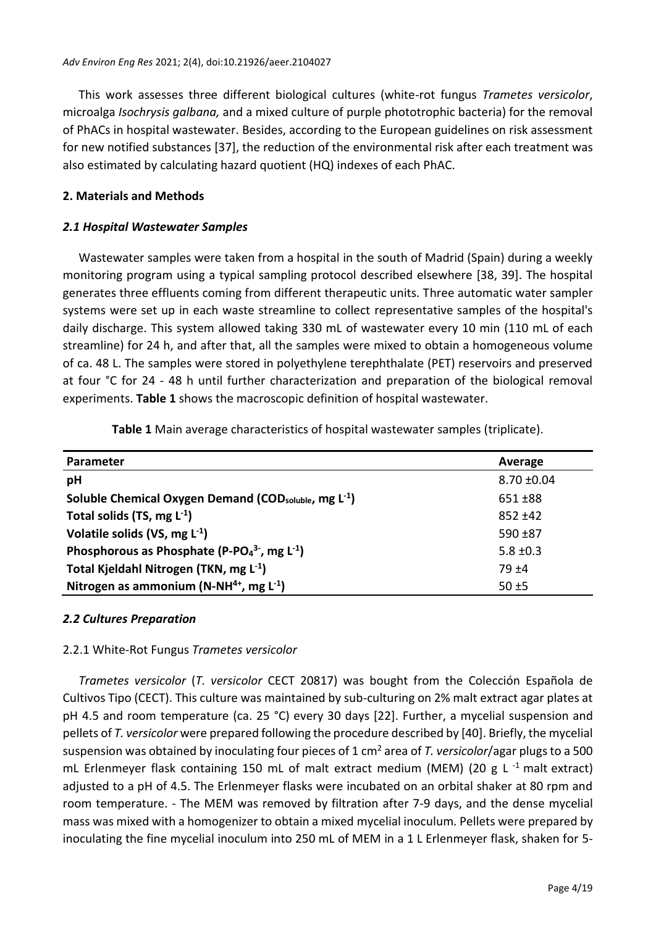This work assesses three different biological cultures (white-rot fungus *Trametes versicolor*, microalga *Isochrysis galbana,* and a mixed culture of purple phototrophic bacteria) for the removal of PhACs in hospital wastewater. Besides, according to the European guidelines on risk assessment for new notified substances [37], the reduction of the environmental risk after each treatment was also estimated by calculating hazard quotient (HQ) indexes of each PhAC.

# **2. Materials and Methods**

#### *2.1 Hospital Wastewater Samples*

Wastewater samples were taken from a hospital in the south of Madrid (Spain) during a weekly monitoring program using a typical sampling protocol described elsewhere [38, 39]. The hospital generates three effluents coming from different therapeutic units. Three automatic water sampler systems were set up in each waste streamline to collect representative samples of the hospital's daily discharge. This system allowed taking 330 mL of wastewater every 10 min (110 mL of each streamline) for 24 h, and after that, all the samples were mixed to obtain a homogeneous volume of ca. 48 L. The samples were stored in polyethylene terephthalate (PET) reservoirs and preserved at four °C for 24 - 48 h until further characterization and preparation of the biological removal experiments. **Table 1** shows the macroscopic definition of hospital wastewater.

| Parameter                                                                     | Average         |
|-------------------------------------------------------------------------------|-----------------|
| pH                                                                            | $8.70 \pm 0.04$ |
| Soluble Chemical Oxygen Demand (COD <sub>soluble</sub> , mg L <sup>-1</sup> ) | $651 + 88$      |
| Total solids (TS, mg $L^{-1}$ )                                               | $852 + 42$      |
| Volatile solids (VS, mg $L^{-1}$ )                                            | $590 + 87$      |
| Phosphorous as Phosphate (P-PO $_4^3$ , mg L <sup>-1</sup> )                  | $5.8 \pm 0.3$   |
| Total Kjeldahl Nitrogen (TKN, mg L <sup>-1</sup> )                            | 79 ±4           |
| Nitrogen as ammonium (N-NH <sup>4+</sup> , mg $L^{-1}$ )                      | $50 + 5$        |

**Table 1** Main average characteristics of hospital wastewater samples (triplicate).

#### *2.2 Cultures Preparation*

#### 2.2.1 White-Rot Fungus *Trametes versicolor*

*Trametes versicolor* (*T. versicolor* CECT 20817) was bought from the Colección Española de Cultivos Tipo (CECT). This culture was maintained by sub-culturing on 2% malt extract agar plates at pH 4.5 and room temperature (ca. 25 °C) every 30 days [22]. Further, a mycelial suspension and pellets of *T. versicolor* were prepared following the procedure described by [40]. Briefly, the mycelial suspension was obtained by inoculating four pieces of 1 cm<sup>2</sup> area of *T. versicolor*/agar plugs to a 500 mL Erlenmeyer flask containing 150 mL of malt extract medium (MEM) (20 g L $^{-1}$  malt extract) adjusted to a pH of 4.5. The Erlenmeyer flasks were incubated on an orbital shaker at 80 rpm and room temperature. - The MEM was removed by filtration after 7-9 days, and the dense mycelial mass was mixed with a homogenizer to obtain a mixed mycelial inoculum. Pellets were prepared by inoculating the fine mycelial inoculum into 250 mL of MEM in a 1 L Erlenmeyer flask, shaken for 5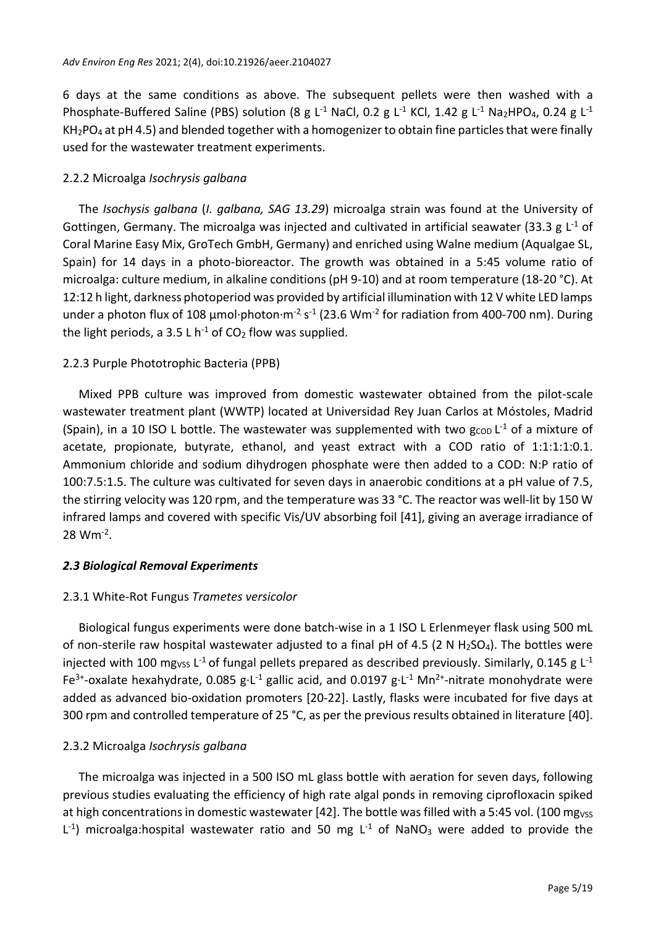6 days at the same conditions as above. The subsequent pellets were then washed with a Phosphate-Buffered Saline (PBS) solution (8 g L<sup>-1</sup> NaCl, 0.2 g L<sup>-1</sup> KCl, 1.42 g L<sup>-1</sup> Na<sub>2</sub>HPO<sub>4</sub>, 0.24 g L<sup>-1</sup>  $KH<sub>2</sub>PO<sub>4</sub>$  at pH 4.5) and blended together with a homogenizer to obtain fine particles that were finally used for the wastewater treatment experiments.

#### 2.2.2 Microalga *Isochrysis galbana*

The *Isochysis galbana* (*I. galbana, SAG 13.29*) microalga strain was found at the University of Gottingen, Germany. The microalga was injected and cultivated in artificial seawater (33.3 g  $L^{-1}$  of Coral Marine Easy Mix, GroTech GmbH, Germany) and enriched using Walne medium (Aqualgae SL, Spain) for 14 days in a photo-bioreactor. The growth was obtained in a 5:45 volume ratio of microalga: culture medium, in alkaline conditions (pH 9-10) and at room temperature (18-20 °C). At 12:12 h light, darkness photoperiod was provided by artificial illumination with 12 V white LED lamps under a photon flux of 108 μmol·photon·m<sup>-2</sup> s<sup>-1</sup> (23.6 Wm<sup>-2</sup> for radiation from 400-700 nm). During the light periods, a 3.5 L h<sup>-1</sup> of  $CO<sub>2</sub>$  flow was supplied.

#### 2.2.3 Purple Phototrophic Bacteria (PPB)

Mixed PPB culture was improved from domestic wastewater obtained from the pilot-scale wastewater treatment plant (WWTP) located at Universidad Rey Juan Carlos at Móstoles, Madrid (Spain), in a 10 ISO L bottle. The wastewater was supplemented with two  $g_{\text{COD}}$  L<sup>-1</sup> of a mixture of acetate, propionate, butyrate, ethanol, and yeast extract with a COD ratio of 1:1:1:1:0.1. Ammonium chloride and sodium dihydrogen phosphate were then added to a COD: N:P ratio of 100:7.5:1.5. The culture was cultivated for seven days in anaerobic conditions at a pH value of 7.5, the stirring velocity was 120 rpm, and the temperature was 33 °C. The reactor was well-lit by 150 W infrared lamps and covered with specific Vis/UV absorbing foil [41], giving an average irradiance of  $28 \, \text{Wm}^{-2}$ .

#### *2.3 Biological Removal Experiments*

#### 2.3.1 White-Rot Fungus *Trametes versicolor*

Biological fungus experiments were done batch-wise in a 1 ISO L Erlenmeyer flask using 500 mL of non-sterile raw hospital wastewater adjusted to a final pH of 4.5 (2 N H<sub>2</sub>SO<sub>4</sub>). The bottles were injected with 100 mg<sub>VSS</sub> L<sup>-1</sup> of fungal pellets prepared as described previously. Similarly, 0.145 g L<sup>-1</sup> Fe<sup>3+</sup>-oxalate hexahydrate, 0.085 g·L<sup>-1</sup> gallic acid, and 0.0197 g·L<sup>-1</sup> Mn<sup>2+</sup>-nitrate monohydrate were added as advanced bio-oxidation promoters [20-22]. Lastly, flasks were incubated for five days at 300 rpm and controlled temperature of 25 °C, as per the previous results obtained in literature [40].

# 2.3.2 Microalga *Isochrysis galbana*

The microalga was injected in a 500 ISO mL glass bottle with aeration for seven days, following previous studies evaluating the efficiency of high rate algal ponds in removing ciprofloxacin spiked at high concentrations in domestic wastewater [42]. The bottle was filled with a 5:45 vol. (100 mg<sub>VSS</sub>  $L^{-1}$ ) microalga:hospital wastewater ratio and 50 mg  $L^{-1}$  of NaNO<sub>3</sub> were added to provide the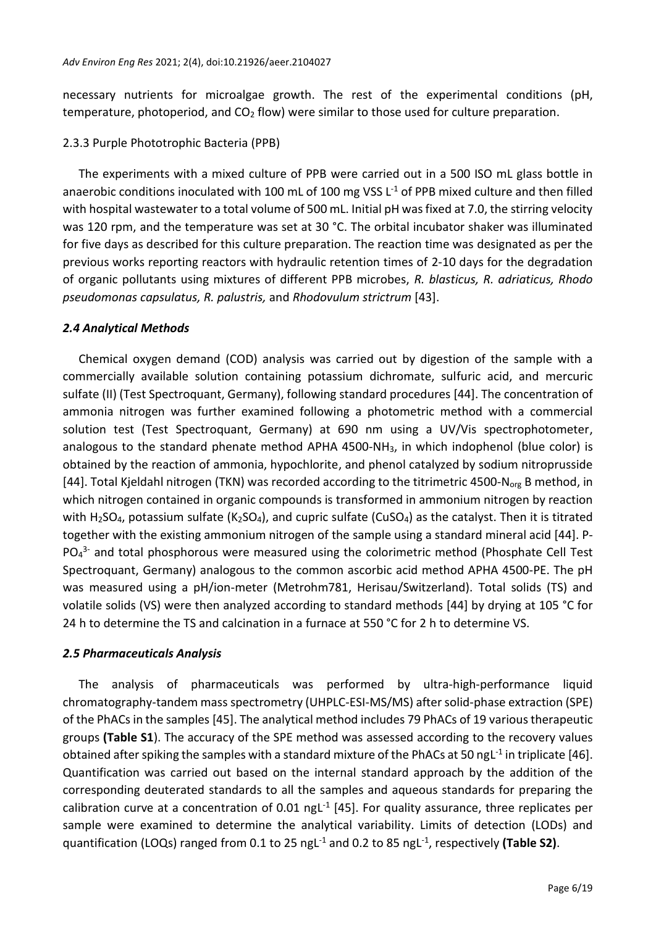necessary nutrients for microalgae growth. The rest of the experimental conditions (pH, temperature, photoperiod, and  $CO<sub>2</sub>$  flow) were similar to those used for culture preparation.

#### 2.3.3 Purple Phototrophic Bacteria (PPB)

The experiments with a mixed culture of PPB were carried out in a 500 ISO mL glass bottle in anaerobic conditions inoculated with 100 mL of 100 mg VSS  $L^{-1}$  of PPB mixed culture and then filled with hospital wastewater to a total volume of 500 mL. Initial pH was fixed at 7.0, the stirring velocity was 120 rpm, and the temperature was set at 30 °C. The orbital incubator shaker was illuminated for five days as described for this culture preparation. The reaction time was designated as per the previous works reporting reactors with hydraulic retention times of 2-10 days for the degradation of organic pollutants using mixtures of different PPB microbes, *R. blasticus, R. adriaticus, Rhodo pseudomonas capsulatus, R. palustris,* and *Rhodovulum strictrum* [43].

#### *2.4 Analytical Methods*

Chemical oxygen demand (COD) analysis was carried out by digestion of the sample with a commercially available solution containing potassium dichromate, sulfuric acid, and mercuric sulfate (II) (Test Spectroquant, Germany), following standard procedures [44]. The concentration of ammonia nitrogen was further examined following a photometric method with a commercial solution test (Test Spectroquant, Germany) at 690 nm using a UV/Vis spectrophotometer, analogous to the standard phenate method APHA 4500-NH3, in which indophenol (blue color) is obtained by the reaction of ammonia, hypochlorite, and phenol catalyzed by sodium nitroprusside [44]. Total Kjeldahl nitrogen (TKN) was recorded according to the titrimetric 4500-N<sub>org</sub> B method, in which nitrogen contained in organic compounds is transformed in ammonium nitrogen by reaction with H<sub>2</sub>SO<sub>4</sub>, potassium sulfate (K<sub>2</sub>SO<sub>4</sub>), and cupric sulfate (CuSO<sub>4</sub>) as the catalyst. Then it is titrated together with the existing ammonium nitrogen of the sample using a standard mineral acid [44]. P- $PO<sub>4</sub><sup>3-</sup>$  and total phosphorous were measured using the colorimetric method (Phosphate Cell Test Spectroquant, Germany) analogous to the common ascorbic acid method APHA 4500-PE. The pH was measured using a pH/ion-meter (Metrohm781, Herisau/Switzerland). Total solids (TS) and volatile solids (VS) were then analyzed according to standard methods [44] by drying at 105 °C for 24 h to determine the TS and calcination in a furnace at 550 °C for 2 h to determine VS.

# *2.5 Pharmaceuticals Analysis*

The analysis of pharmaceuticals was performed by ultra-high-performance liquid chromatography-tandem mass spectrometry (UHPLC-ESI-MS/MS) after solid-phase extraction (SPE) of the PhACs in the samples [45]. The analytical method includes 79 PhACs of 19 various therapeutic groups **(Table S1**). The accuracy of the SPE method was assessed according to the recovery values obtained after spiking the samples with a standard mixture of the PhACs at 50 ngL<sup>-1</sup> in triplicate [46]. Quantification was carried out based on the internal standard approach by the addition of the corresponding deuterated standards to all the samples and aqueous standards for preparing the calibration curve at a concentration of  $0.01$  ngL<sup>-1</sup> [45]. For quality assurance, three replicates per sample were examined to determine the analytical variability. Limits of detection (LODs) and quantification (LOQs) ranged from 0.1 to 25 ngL<sup>-1</sup> and 0.2 to 85 ngL<sup>-1</sup>, respectively (Table S2).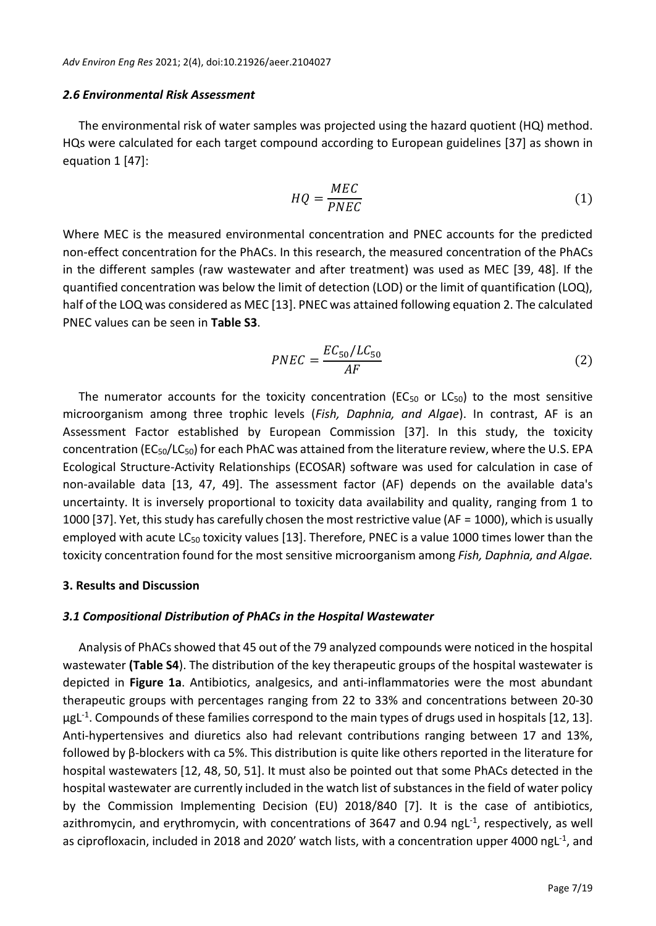#### *2.6 Environmental Risk Assessment*

The environmental risk of water samples was projected using the hazard quotient (HQ) method. HQs were calculated for each target compound according to European guidelines [37] as shown in equation 1 [47]:

$$
HQ = \frac{MEC}{PNEC} \tag{1}
$$

Where MEC is the measured environmental concentration and PNEC accounts for the predicted non-effect concentration for the PhACs. In this research, the measured concentration of the PhACs in the different samples (raw wastewater and after treatment) was used as MEC [39, 48]. If the quantified concentration was below the limit of detection (LOD) or the limit of quantification (LOQ), half of the LOQ was considered as MEC [13]. PNEC was attained following equation 2. The calculated PNEC values can be seen in **Table S3**.

$$
PNEC = \frac{EC_{50}/LC_{50}}{AF}
$$
 (2)

The numerator accounts for the toxicity concentration (EC<sub>50</sub> or LC<sub>50</sub>) to the most sensitive microorganism among three trophic levels (*Fish, Daphnia, and Algae*). In contrast, AF is an Assessment Factor established by European Commission [37]. In this study, the toxicity concentration ( $EC_{50}/LC_{50}$ ) for each PhAC was attained from the literature review, where the U.S. EPA Ecological Structure-Activity Relationships (ECOSAR) software was used for calculation in case of non-available data [13, 47, 49]. The assessment factor (AF) depends on the available data's uncertainty. It is inversely proportional to toxicity data availability and quality, ranging from 1 to 1000 [37]. Yet, this study has carefully chosen the most restrictive value (AF = 1000), which is usually employed with acute  $LG_{50}$  toxicity values [13]. Therefore, PNEC is a value 1000 times lower than the toxicity concentration found for the most sensitive microorganism among *Fish, Daphnia, and Algae.*

#### **3. Results and Discussion**

#### *3.1 Compositional Distribution of PhACs in the Hospital Wastewater*

Analysis of PhACs showed that 45 out of the 79 analyzed compounds were noticed in the hospital wastewater **(Table S4**). The distribution of the key therapeutic groups of the hospital wastewater is depicted in **Figure 1a**. Antibiotics, analgesics, and anti-inflammatories were the most abundant therapeutic groups with percentages ranging from 22 to 33% and concentrations between 20-30 µgL<sup>-1</sup>. Compounds of these families correspond to the main types of drugs used in hospitals [12, 13]. Anti-hypertensives and diuretics also had relevant contributions ranging between 17 and 13%, followed by β-blockers with ca 5%. This distribution is quite like others reported in the literature for hospital wastewaters [12, 48, 50, 51]. It must also be pointed out that some PhACs detected in the hospital wastewater are currently included in the watch list of substances in the field of water policy by the Commission Implementing Decision (EU) 2018/840 [7]. It is the case of antibiotics, azithromycin, and erythromycin, with concentrations of 3647 and 0.94 ngL<sup>-1</sup>, respectively, as well as ciprofloxacin, included in 2018 and 2020' watch lists, with a concentration upper 4000 ngL<sup>-1</sup>, and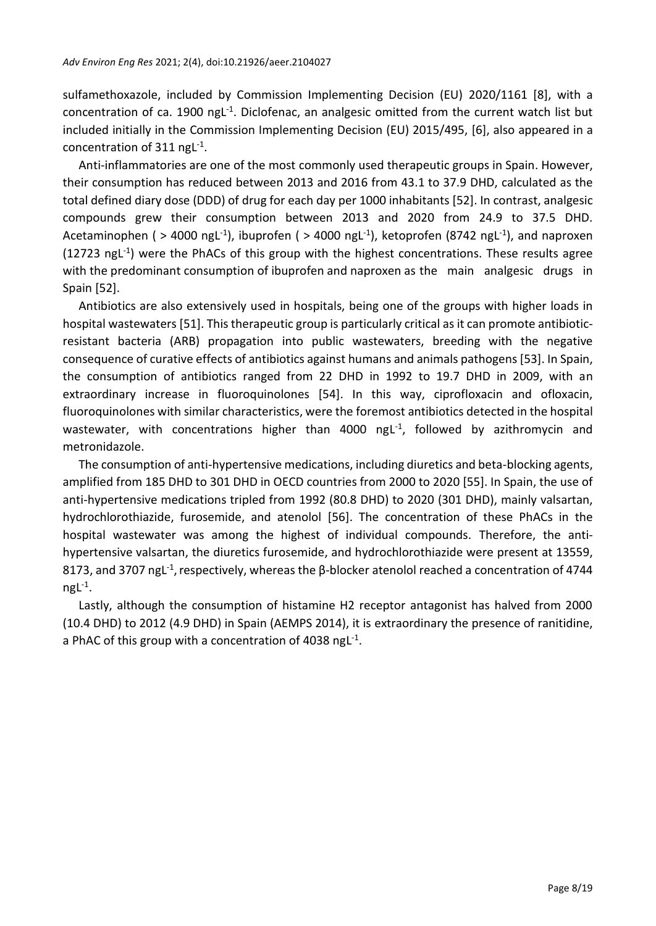sulfamethoxazole, included by Commission Implementing Decision (EU) 2020/1161 [8], with a concentration of ca. 1900 ngL<sup>-1</sup>. Diclofenac, an analgesic omitted from the current watch list but included initially in the Commission Implementing Decision (EU) 2015/495, [6], also appeared in a concentration of  $311$  ngL<sup>-1</sup>.

Anti-inflammatories are one of the most commonly used therapeutic groups in Spain. However, their consumption has reduced between 2013 and 2016 from 43.1 to 37.9 DHD, calculated as the total defined diary dose (DDD) of drug for each day per 1000 inhabitants [52]. In contrast, analgesic compounds grew their consumption between 2013 and 2020 from 24.9 to 37.5 DHD. Acetaminophen ( > 4000 ngL<sup>-1</sup>), ibuprofen ( > 4000 ngL<sup>-1</sup>), ketoprofen (8742 ngL<sup>-1</sup>), and naproxen (12723 ngL<sup>-1</sup>) were the PhACs of this group with the highest concentrations. These results agree with the predominant consumption of ibuprofen and naproxen as the main analgesic drugs in Spain [52].

Antibiotics are also extensively used in hospitals, being one of the groups with higher loads in hospital wastewaters [51]. This therapeutic group is particularly critical as it can promote antibioticresistant bacteria (ARB) propagation into public wastewaters, breeding with the negative consequence of curative effects of antibiotics against humans and animals pathogens [53]. In Spain, the consumption of antibiotics ranged from 22 DHD in 1992 to 19.7 DHD in 2009, with an extraordinary increase in fluoroquinolones [54]. In this way, ciprofloxacin and ofloxacin, fluoroquinolones with similar characteristics, were the foremost antibiotics detected in the hospital wastewater, with concentrations higher than 4000  $\eta gL^{-1}$ , followed by azithromycin and metronidazole.

The consumption of anti-hypertensive medications, including diuretics and beta-blocking agents, amplified from 185 DHD to 301 DHD in OECD countries from 2000 to 2020 [55]. In Spain, the use of anti-hypertensive medications tripled from 1992 (80.8 DHD) to 2020 (301 DHD), mainly valsartan, hydrochlorothiazide, furosemide, and atenolol [56]. The concentration of these PhACs in the hospital wastewater was among the highest of individual compounds. Therefore, the antihypertensive valsartan, the diuretics furosemide, and hydrochlorothiazide were present at 13559, 8173, and 3707 ngL<sup>-1</sup>, respectively, whereas the β-blocker atenolol reached a concentration of 4744  $ngL^{-1}$ .

Lastly, although the consumption of histamine H2 receptor antagonist has halved from 2000 (10.4 DHD) to 2012 (4.9 DHD) in Spain (AEMPS 2014), it is extraordinary the presence of ranitidine, a PhAC of this group with a concentration of 4038 ngL $^{-1}$ .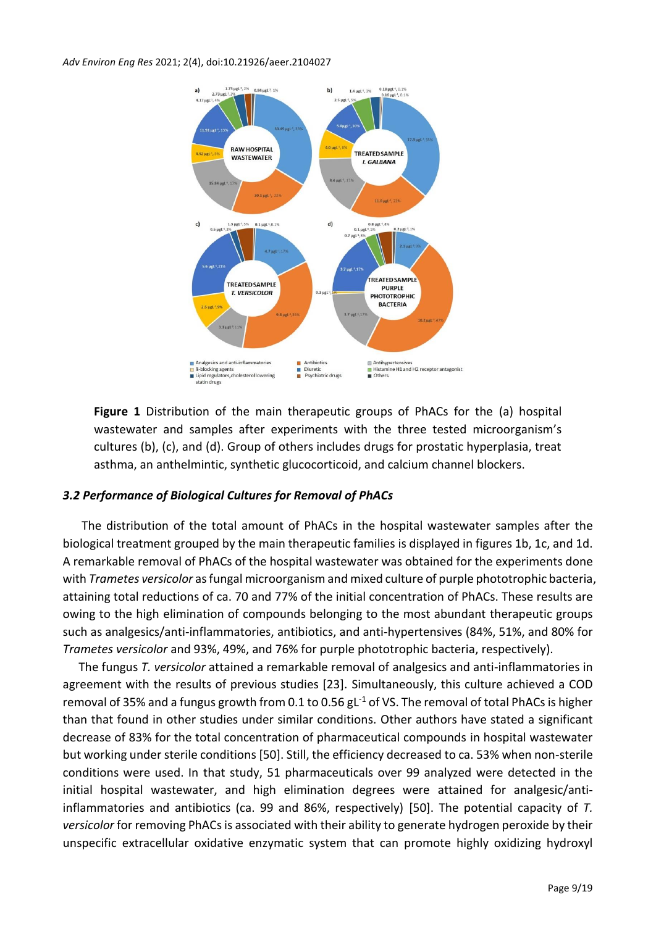

**Figure 1** Distribution of the main therapeutic groups of PhACs for the (a) hospital wastewater and samples after experiments with the three tested microorganism's cultures (b), (c), and (d). Group of others includes drugs for prostatic hyperplasia, treat asthma, an anthelmintic, synthetic glucocorticoid, and calcium channel blockers.

# *3.2 Performance of Biological Cultures for Removal of PhACs*

The distribution of the total amount of PhACs in the hospital wastewater samples after the biological treatment grouped by the main therapeutic families is displayed in figures 1b, 1c, and 1d. A remarkable removal of PhACs of the hospital wastewater was obtained for the experiments done with *Trametes versicolor* as fungal microorganism and mixed culture of purple phototrophic bacteria, attaining total reductions of ca. 70 and 77% of the initial concentration of PhACs. These results are owing to the high elimination of compounds belonging to the most abundant therapeutic groups such as analgesics/anti-inflammatories, antibiotics, and anti-hypertensives (84%, 51%, and 80% for *Trametes versicolor* and 93%, 49%, and 76% for purple phototrophic bacteria, respectively).

The fungus *T. versicolor* attained a remarkable removal of analgesics and anti-inflammatories in agreement with the results of previous studies [23]. Simultaneously, this culture achieved a COD removal of 35% and a fungus growth from 0.1 to 0.56  $gL^{-1}$  of VS. The removal of total PhACs is higher than that found in other studies under similar conditions. Other authors have stated a significant decrease of 83% for the total concentration of pharmaceutical compounds in hospital wastewater but working under sterile conditions [50]. Still, the efficiency decreased to ca. 53% when non-sterile conditions were used. In that study, 51 pharmaceuticals over 99 analyzed were detected in the initial hospital wastewater, and high elimination degrees were attained for analgesic/antiinflammatories and antibiotics (ca. 99 and 86%, respectively) [50]. The potential capacity of *T.*  versicolor for removing PhACs is associated with their ability to generate hydrogen peroxide by their unspecific extracellular oxidative enzymatic system that can promote highly oxidizing hydroxyl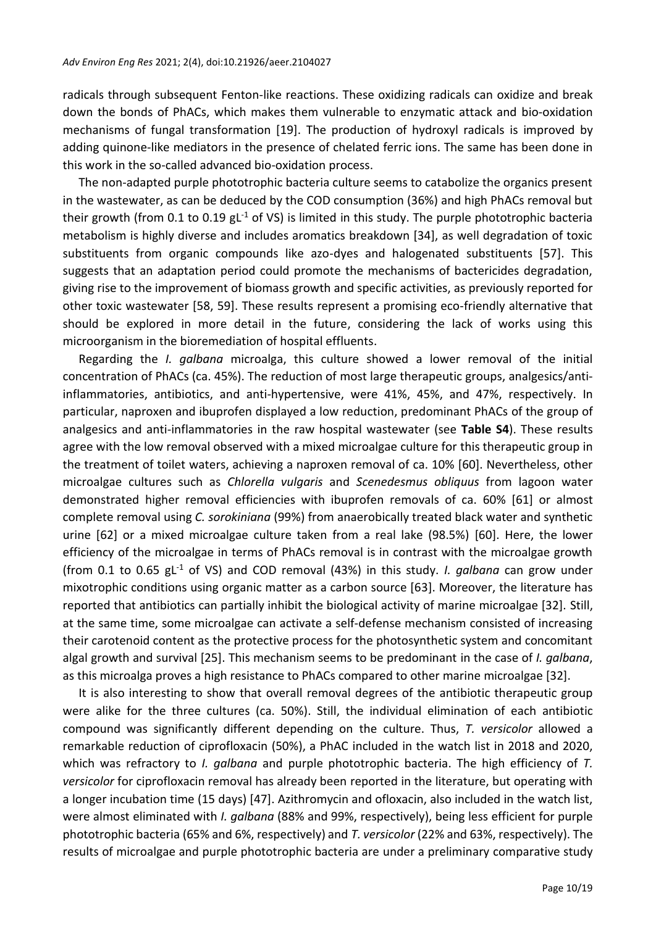radicals through subsequent Fenton-like reactions. These oxidizing radicals can oxidize and break down the bonds of PhACs, which makes them vulnerable to enzymatic attack and bio-oxidation mechanisms of fungal transformation [19]. The production of hydroxyl radicals is improved by adding quinone-like mediators in the presence of chelated ferric ions. The same has been done in this work in the so-called advanced bio-oxidation process.

The non-adapted purple phototrophic bacteria culture seems to catabolize the organics present in the wastewater, as can be deduced by the COD consumption (36%) and high PhACs removal but their growth (from 0.1 to 0.19  $gt^{-1}$  of VS) is limited in this study. The purple phototrophic bacteria metabolism is highly diverse and includes aromatics breakdown [34], as well degradation of toxic substituents from organic compounds like azo-dyes and halogenated substituents [57]. This suggests that an adaptation period could promote the mechanisms of bactericides degradation, giving rise to the improvement of biomass growth and specific activities, as previously reported for other toxic wastewater [58, 59]. These results represent a promising eco-friendly alternative that should be explored in more detail in the future, considering the lack of works using this microorganism in the bioremediation of hospital effluents.

Regarding the *I. galbana* microalga, this culture showed a lower removal of the initial concentration of PhACs (ca. 45%). The reduction of most large therapeutic groups, analgesics/antiinflammatories, antibiotics, and anti-hypertensive, were 41%, 45%, and 47%, respectively. In particular, naproxen and ibuprofen displayed a low reduction, predominant PhACs of the group of analgesics and anti-inflammatories in the raw hospital wastewater (see **Table S4**). These results agree with the low removal observed with a mixed microalgae culture for this therapeutic group in the treatment of toilet waters, achieving a naproxen removal of ca. 10% [60]. Nevertheless, other microalgae cultures such as *Chlorella vulgaris* and *Scenedesmus obliquus* from lagoon water demonstrated higher removal efficiencies with ibuprofen removals of ca. 60% [61] or almost complete removal using *C. sorokiniana* (99%) from anaerobically treated black water and synthetic urine [62] or a mixed microalgae culture taken from a real lake (98.5%) [60]. Here, the lower efficiency of the microalgae in terms of PhACs removal is in contrast with the microalgae growth (from 0.1 to 0.65 gL -1 of VS) and COD removal (43%) in this study. *I. galbana* can grow under mixotrophic conditions using organic matter as a carbon source [63]. Moreover, the literature has reported that antibiotics can partially inhibit the biological activity of marine microalgae [32]. Still, at the same time, some microalgae can activate a self-defense mechanism consisted of increasing their carotenoid content as the protective process for the photosynthetic system and concomitant algal growth and survival [25]. This mechanism seems to be predominant in the case of *I. galbana*, as this microalga proves a high resistance to PhACs compared to other marine microalgae [32].

It is also interesting to show that overall removal degrees of the antibiotic therapeutic group were alike for the three cultures (ca. 50%). Still, the individual elimination of each antibiotic compound was significantly different depending on the culture. Thus, *T. versicolor* allowed a remarkable reduction of ciprofloxacin (50%), a PhAC included in the watch list in 2018 and 2020, which was refractory to *I. galbana* and purple phototrophic bacteria. The high efficiency of *T. versicolor* for ciprofloxacin removal has already been reported in the literature, but operating with a longer incubation time (15 days) [47]. Azithromycin and ofloxacin, also included in the watch list, were almost eliminated with *I. galbana* (88% and 99%, respectively), being less efficient for purple phototrophic bacteria (65% and 6%, respectively) and *T. versicolor* (22% and 63%, respectively). The results of microalgae and purple phototrophic bacteria are under a preliminary comparative study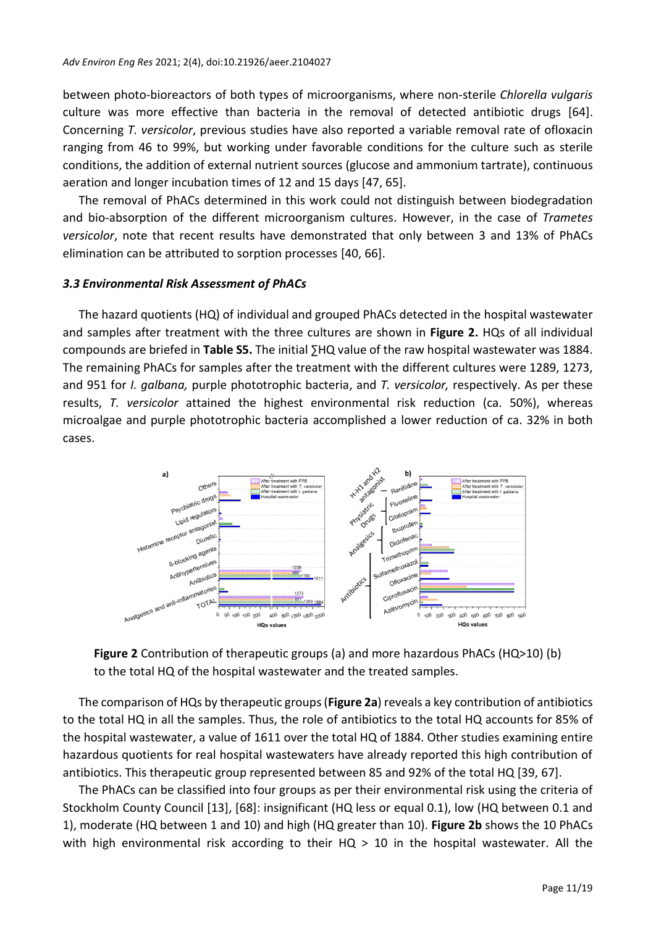between photo-bioreactors of both types of microorganisms, where non-sterile *Chlorella vulgaris* culture was more effective than bacteria in the removal of detected antibiotic drugs [64]. Concerning *T. versicolor*, previous studies have also reported a variable removal rate of ofloxacin ranging from 46 to 99%, but working under favorable conditions for the culture such as sterile conditions, the addition of external nutrient sources (glucose and ammonium tartrate), continuous aeration and longer incubation times of 12 and 15 days [47, 65].

The removal of PhACs determined in this work could not distinguish between biodegradation and bio-absorption of the different microorganism cultures. However, in the case of *Trametes versicolor*, note that recent results have demonstrated that only between 3 and 13% of PhACs elimination can be attributed to sorption processes [40, 66].

#### *3.3 Environmental Risk Assessment of PhACs*

The hazard quotients (HQ) of individual and grouped PhACs detected in the hospital wastewater and samples after treatment with the three cultures are shown in **Figure 2.** HQs of all individual compounds are briefed in **Table S5.** The initial ∑HQ value of the raw hospital wastewater was 1884. The remaining PhACs for samples after the treatment with the different cultures were 1289, 1273, and 951 for *I. galbana,* purple phototrophic bacteria, and *T. versicolor,* respectively. As per these results, *T. versicolor* attained the highest environmental risk reduction (ca. 50%), whereas microalgae and purple phototrophic bacteria accomplished a lower reduction of ca. 32% in both cases.



**Figure 2** Contribution of therapeutic groups (a) and more hazardous PhACs (HQ>10) (b) to the total HQ of the hospital wastewater and the treated samples.

The comparison of HQs by therapeutic groups (**Figure 2a**) reveals a key contribution of antibiotics to the total HQ in all the samples. Thus, the role of antibiotics to the total HQ accounts for 85% of the hospital wastewater, a value of 1611 over the total HQ of 1884. Other studies examining entire hazardous quotients for real hospital wastewaters have already reported this high contribution of antibiotics. This therapeutic group represented between 85 and 92% of the total HQ [39, 67].

The PhACs can be classified into four groups as per their environmental risk using the criteria of Stockholm County Council [13], [68]: insignificant (HQ less or equal 0.1), low (HQ between 0.1 and 1), moderate (HQ between 1 and 10) and high (HQ greater than 10). **Figure 2b** shows the 10 PhACs with high environmental risk according to their  $HQ > 10$  in the hospital wastewater. All the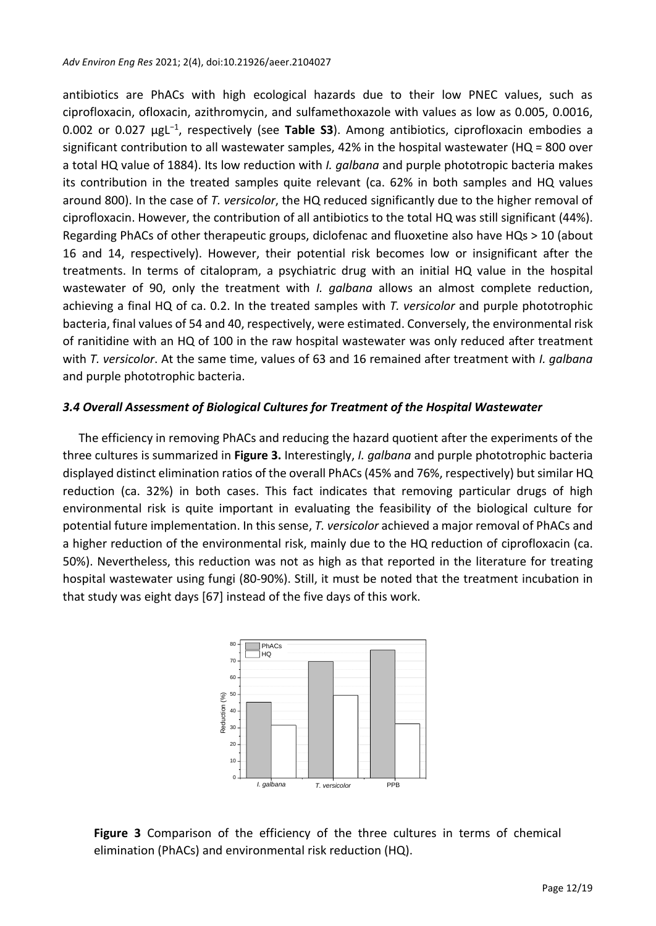antibiotics are PhACs with high ecological hazards due to their low PNEC values, such as ciprofloxacin, ofloxacin, azithromycin, and sulfamethoxazole with values as low as 0.005, 0.0016, 0.002 or 0.027 µgL<sup>−</sup><sup>1</sup> , respectively (see **Table S3**). Among antibiotics, ciprofloxacin embodies a significant contribution to all wastewater samples, 42% in the hospital wastewater (HQ = 800 over a total HQ value of 1884). Its low reduction with *I. galbana* and purple phototropic bacteria makes its contribution in the treated samples quite relevant (ca. 62% in both samples and HQ values around 800). In the case of *T. versicolor*, the HQ reduced significantly due to the higher removal of ciprofloxacin. However, the contribution of all antibiotics to the total HQ was still significant (44%). Regarding PhACs of other therapeutic groups, diclofenac and fluoxetine also have HQs > 10 (about 16 and 14, respectively). However, their potential risk becomes low or insignificant after the treatments. In terms of citalopram, a psychiatric drug with an initial HQ value in the hospital wastewater of 90, only the treatment with *I. galbana* allows an almost complete reduction, achieving a final HQ of ca. 0.2. In the treated samples with *T. versicolor* and purple phototrophic bacteria, final values of 54 and 40, respectively, were estimated. Conversely, the environmental risk of ranitidine with an HQ of 100 in the raw hospital wastewater was only reduced after treatment with *T. versicolor*. At the same time, values of 63 and 16 remained after treatment with *I. galbana* and purple phototrophic bacteria.

# *3.4 Overall Assessment of Biological Cultures for Treatment of the Hospital Wastewater*

The efficiency in removing PhACs and reducing the hazard quotient after the experiments of the three cultures is summarized in **Figure 3.** Interestingly, *I. galbana* and purple phototrophic bacteria displayed distinct elimination ratios of the overall PhACs (45% and 76%, respectively) but similar HQ reduction (ca. 32%) in both cases. This fact indicates that removing particular drugs of high environmental risk is quite important in evaluating the feasibility of the biological culture for potential future implementation. In this sense, *T. versicolor* achieved a major removal of PhACs and a higher reduction of the environmental risk, mainly due to the HQ reduction of ciprofloxacin (ca. 50%). Nevertheless, this reduction was not as high as that reported in the literature for treating hospital wastewater using fungi (80-90%). Still, it must be noted that the treatment incubation in that study was eight days [67] instead of the five days of this work.



**Figure 3** Comparison of the efficiency of the three cultures in terms of chemical elimination (PhACs) and environmental risk reduction (HQ).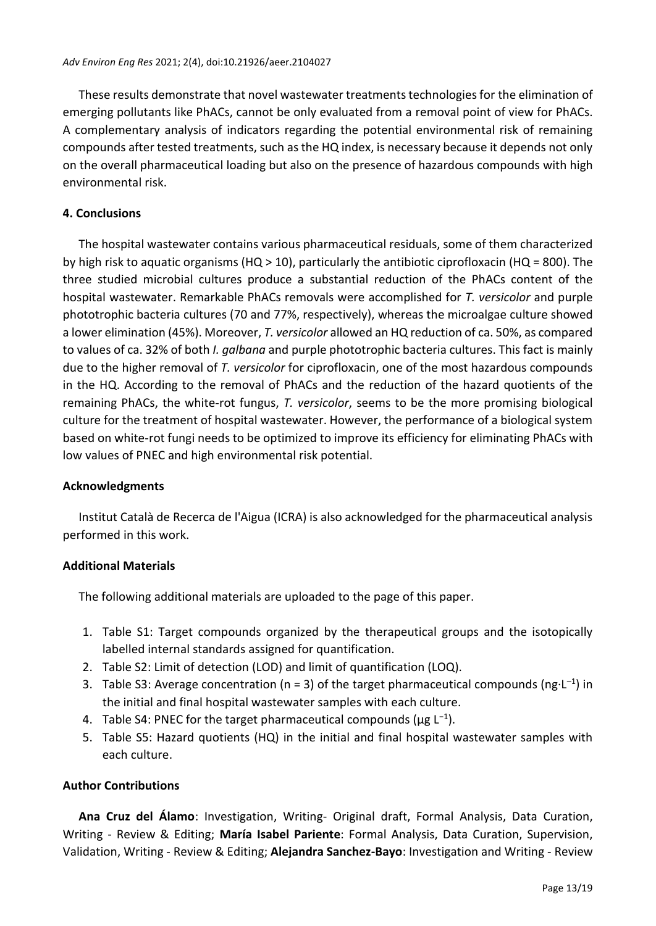These results demonstrate that novel wastewater treatments technologies for the elimination of emerging pollutants like PhACs, cannot be only evaluated from a removal point of view for PhACs. A complementary analysis of indicators regarding the potential environmental risk of remaining compounds after tested treatments, such as the HQ index, is necessary because it depends not only on the overall pharmaceutical loading but also on the presence of hazardous compounds with high environmental risk.

#### **4. Conclusions**

The hospital wastewater contains various pharmaceutical residuals, some of them characterized by high risk to aquatic organisms (HQ > 10), particularly the antibiotic ciprofloxacin (HQ = 800). The three studied microbial cultures produce a substantial reduction of the PhACs content of the hospital wastewater. Remarkable PhACs removals were accomplished for *T. versicolor* and purple phototrophic bacteria cultures (70 and 77%, respectively), whereas the microalgae culture showed a lower elimination (45%). Moreover, *T. versicolor* allowed an HQ reduction of ca. 50%, as compared to values of ca. 32% of both *I. galbana* and purple phototrophic bacteria cultures. This fact is mainly due to the higher removal of *T. versicolor* for ciprofloxacin, one of the most hazardous compounds in the HQ. According to the removal of PhACs and the reduction of the hazard quotients of the remaining PhACs, the white-rot fungus, *T. versicolor*, seems to be the more promising biological culture for the treatment of hospital wastewater. However, the performance of a biological system based on white-rot fungi needs to be optimized to improve its efficiency for eliminating PhACs with low values of PNEC and high environmental risk potential.

#### **Acknowledgments**

Institut Català de Recerca de l'Aigua (ICRA) is also acknowledged for the pharmaceutical analysis performed in this work.

#### **Additional Materials**

The following additional materials are uploaded to the page of this paper.

- 1. Table S1: Target compounds organized by the therapeutical groups and the isotopically labelled internal standards assigned for quantification.
- 2. Table S2: Limit of detection (LOD) and limit of quantification (LOQ).
- 3. Table S3: Average concentration ( $n = 3$ ) of the target pharmaceutical compounds ( $ng \cdot L^{-1}$ ) in the initial and final hospital wastewater samples with each culture.
- 4. Table S4: PNEC for the target pharmaceutical compounds ( $\mu$ g L<sup>-1</sup>).
- 5. Table S5: Hazard quotients (HQ) in the initial and final hospital wastewater samples with each culture.

# **Author Contributions**

**Ana Cruz del Álamo**: Investigation, Writing- Original draft, Formal Analysis, Data Curation, Writing - Review & Editing; **María Isabel Pariente**: Formal Analysis, Data Curation, Supervision, Validation, Writing - Review & Editing; **Alejandra Sanchez-Bayo**: Investigation and Writing - Review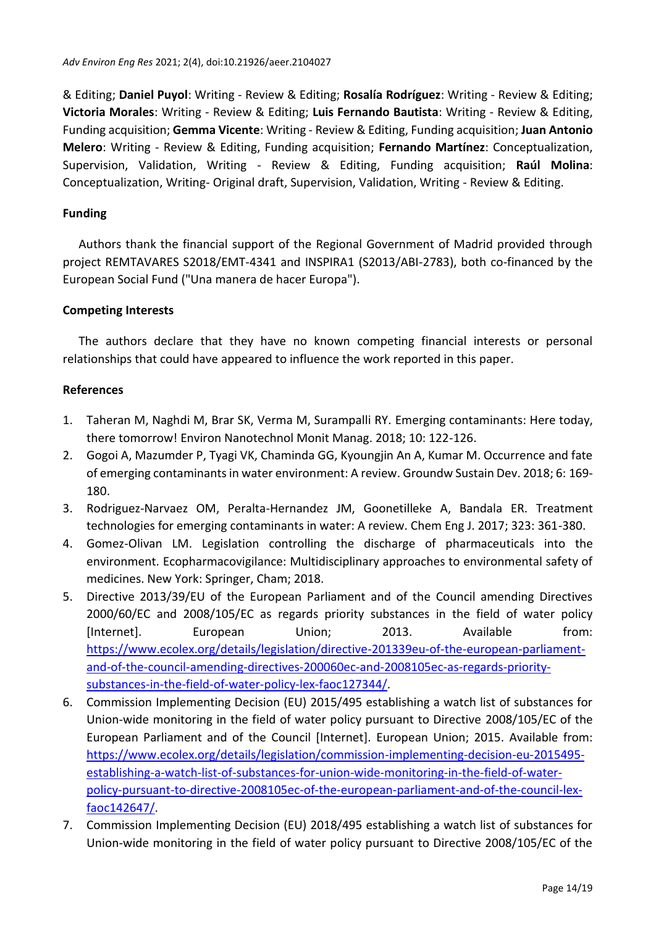& Editing; **Daniel Puyol**: Writing - Review & Editing; **Rosalía Rodríguez**: Writing - Review & Editing; **Victoria Morales**: Writing - Review & Editing; **Luis Fernando Bautista**: Writing - Review & Editing, Funding acquisition; **Gemma Vicente**: Writing - Review & Editing, Funding acquisition; **Juan Antonio Melero**: Writing - Review & Editing, Funding acquisition; **Fernando Martínez**: Conceptualization, Supervision, Validation, Writing - Review & Editing, Funding acquisition; **Raúl Molina**: Conceptualization, Writing- Original draft, Supervision, Validation, Writing - Review & Editing.

# **Funding**

Authors thank the financial support of the Regional Government of Madrid provided through project REMTAVARES S2018/EMT-4341 and INSPIRA1 (S2013/ABI-2783), both co-financed by the European Social Fund ("Una manera de hacer Europa").

# **Competing Interests**

The authors declare that they have no known competing financial interests or personal relationships that could have appeared to influence the work reported in this paper.

# **References**

- 1. Taheran M, Naghdi M, Brar SK, Verma M, Surampalli RY. Emerging contaminants: Here today, there tomorrow! Environ Nanotechnol Monit Manag. 2018; 10: 122-126.
- 2. Gogoi A, Mazumder P, Tyagi VK, Chaminda GG, Kyoungjin An A, Kumar M. Occurrence and fate of emerging contaminants in water environment: A review. Groundw Sustain Dev. 2018; 6: 169- 180.
- 3. Rodriguez-Narvaez OM, Peralta-Hernandez JM, Goonetilleke A, Bandala ER. Treatment technologies for emerging contaminants in water: A review. Chem Eng J. 2017; 323: 361-380.
- 4. Gomez-Olivan LM. Legislation controlling the discharge of pharmaceuticals into the environment. Ecopharmacovigilance: Multidisciplinary approaches to environmental safety of medicines. New York: Springer, Cham; 2018.
- 5. Directive 2013/39/EU of the European Parliament and of the Council amending Directives 2000/60/EC and 2008/105/EC as regards priority substances in the field of water policy [Internet]. European Union; 2013. Available from: [https://www.ecolex.org/details/legislation/directive-201339eu-of-the-european-parliament](https://www.ecolex.org/details/legislation/directive-201339eu-of-the-european-parliament-and-of-the-council-amending-directives-200060ec-and-2008105ec-as-regards-priority-substances-in-the-field-of-water-policy-lex-faoc127344/)[and-of-the-council-amending-directives-200060ec-and-2008105ec-as-regards-priority](https://www.ecolex.org/details/legislation/directive-201339eu-of-the-european-parliament-and-of-the-council-amending-directives-200060ec-and-2008105ec-as-regards-priority-substances-in-the-field-of-water-policy-lex-faoc127344/)[substances-in-the-field-of-water-policy-lex-faoc127344/.](https://www.ecolex.org/details/legislation/directive-201339eu-of-the-european-parliament-and-of-the-council-amending-directives-200060ec-and-2008105ec-as-regards-priority-substances-in-the-field-of-water-policy-lex-faoc127344/)
- 6. Commission Implementing Decision (EU) 2015/495 establishing a watch list of substances for Union-wide monitoring in the field of water policy pursuant to Directive 2008/105/EC of the European Parliament and of the Council [Internet]. European Union; 2015. Available from: [https://www.ecolex.org/details/legislation/commission-implementing-decision-eu-2015495](https://www.ecolex.org/details/legislation/commission-implementing-decision-eu-2015495-establishing-a-watch-list-of-substances-for-union-wide-monitoring-in-the-field-of-water-policy-pursuant-to-directive-2008105ec-of-the-european-parliament-and-of-the-council-lex-faoc142647/) [establishing-a-watch-list-of-substances-for-union-wide-monitoring-in-the-field-of-water](https://www.ecolex.org/details/legislation/commission-implementing-decision-eu-2015495-establishing-a-watch-list-of-substances-for-union-wide-monitoring-in-the-field-of-water-policy-pursuant-to-directive-2008105ec-of-the-european-parliament-and-of-the-council-lex-faoc142647/)[policy-pursuant-to-directive-2008105ec-of-the-european-parliament-and-of-the-council-lex](https://www.ecolex.org/details/legislation/commission-implementing-decision-eu-2015495-establishing-a-watch-list-of-substances-for-union-wide-monitoring-in-the-field-of-water-policy-pursuant-to-directive-2008105ec-of-the-european-parliament-and-of-the-council-lex-faoc142647/)[faoc142647/.](https://www.ecolex.org/details/legislation/commission-implementing-decision-eu-2015495-establishing-a-watch-list-of-substances-for-union-wide-monitoring-in-the-field-of-water-policy-pursuant-to-directive-2008105ec-of-the-european-parliament-and-of-the-council-lex-faoc142647/)
- 7. Commission Implementing Decision (EU) 2018/495 establishing a watch list of substances for Union-wide monitoring in the field of water policy pursuant to Directive 2008/105/EC of the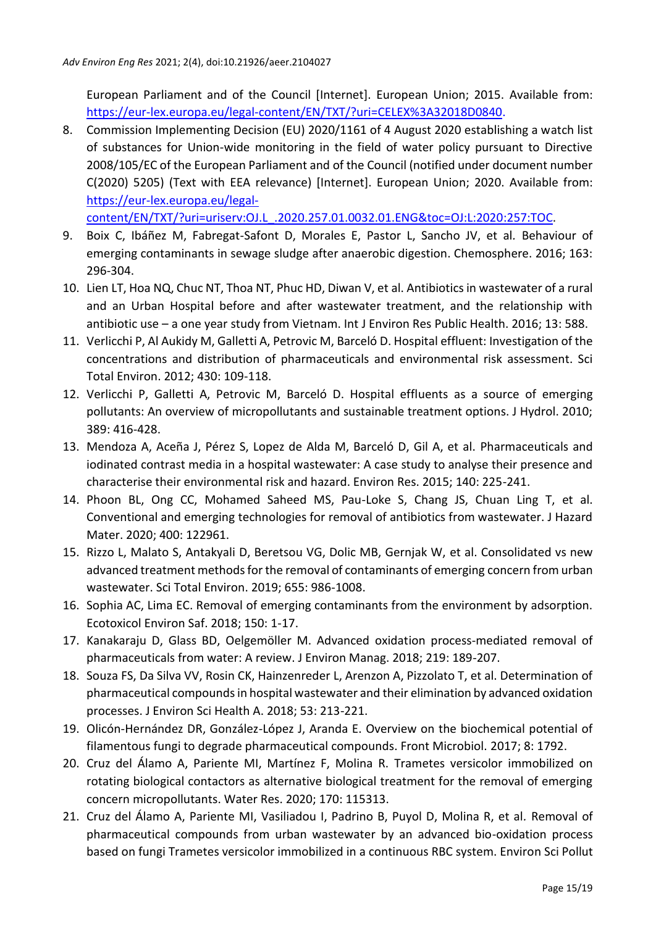European Parliament and of the Council [Internet]. European Union; 2015. Available from: [https://eur-lex.europa.eu/legal-content/EN/TXT/?uri=CELEX%3A32018D0840.](https://eur-lex.europa.eu/legal-content/EN/TXT/?uri=CELEX%3A32018D0840)

8. Commission Implementing Decision (EU) 2020/1161 of 4 August 2020 establishing a watch list of substances for Union-wide monitoring in the field of water policy pursuant to Directive 2008/105/EC of the European Parliament and of the Council (notified under document number C(2020) 5205) (Text with EEA relevance) [Internet]. European Union; 2020. Available from: [https://eur-lex.europa.eu/legal-](https://eur-lex.europa.eu/legal-content/EN/TXT/?uri=uriserv:OJ.L_.2020.257.01.0032.01.ENG&toc=OJ:L:2020:257:TOC)

[content/EN/TXT/?uri=uriserv:OJ.L\\_.2020.257.01.0032.01.ENG&toc=OJ:L:2020:257:TOC.](https://eur-lex.europa.eu/legal-content/EN/TXT/?uri=uriserv:OJ.L_.2020.257.01.0032.01.ENG&toc=OJ:L:2020:257:TOC)

- 9. Boix C, Ibáñez M, Fabregat-Safont D, Morales E, Pastor L, Sancho JV, et al*.* Behaviour of emerging contaminants in sewage sludge after anaerobic digestion. Chemosphere. 2016; 163: 296-304.
- 10. Lien LT, Hoa NQ, Chuc NT, Thoa NT, Phuc HD, Diwan V, et al. Antibiotics in wastewater of a rural and an Urban Hospital before and after wastewater treatment, and the relationship with antibiotic use – a one year study from Vietnam. Int J Environ Res Public Health. 2016; 13: 588.
- 11. Verlicchi P, Al Aukidy M, Galletti A, Petrovic M, Barceló D. Hospital effluent: Investigation of the concentrations and distribution of pharmaceuticals and environmental risk assessment. Sci Total Environ. 2012; 430: 109-118.
- 12. Verlicchi P, Galletti A, Petrovic M, Barceló D. Hospital effluents as a source of emerging pollutants: An overview of micropollutants and sustainable treatment options. J Hydrol. 2010; 389: 416-428.
- 13. Mendoza A, Aceña J, Pérez S, Lopez de Alda M, Barceló D, Gil A, et al. Pharmaceuticals and iodinated contrast media in a hospital wastewater: A case study to analyse their presence and characterise their environmental risk and hazard. Environ Res. 2015; 140: 225-241.
- 14. Phoon BL, Ong CC, Mohamed Saheed MS, Pau-Loke S, Chang JS, Chuan Ling T, et al. Conventional and emerging technologies for removal of antibiotics from wastewater. J Hazard Mater. 2020; 400: 122961.
- 15. Rizzo L, Malato S, Antakyali D, Beretsou VG, Dolic MB, Gernjak W, et al. Consolidated vs new advanced treatment methods for the removal of contaminants of emerging concern from urban wastewater. Sci Total Environ. 2019; 655: 986-1008.
- 16. Sophia AC, Lima EC. Removal of emerging contaminants from the environment by adsorption. Ecotoxicol Environ Saf. 2018; 150: 1-17.
- 17. Kanakaraju D, Glass BD, Oelgemöller M. Advanced oxidation process-mediated removal of pharmaceuticals from water: A review. J Environ Manag. 2018; 219: 189-207.
- 18. Souza FS, Da Silva VV, Rosin CK, Hainzenreder L, Arenzon A, Pizzolato T, et al. Determination of pharmaceutical compounds in hospital wastewater and their elimination by advanced oxidation processes. J Environ Sci Health A. 2018; 53: 213-221.
- 19. Olicón-Hernández DR, González-López J, Aranda E. Overview on the biochemical potential of filamentous fungi to degrade pharmaceutical compounds. Front Microbiol. 2017; 8: 1792.
- 20. Cruz del Álamo A, Pariente MI, Martínez F, Molina R. Trametes versicolor immobilized on rotating biological contactors as alternative biological treatment for the removal of emerging concern micropollutants. Water Res. 2020; 170: 115313.
- 21. Cruz del Álamo A, Pariente MI, Vasiliadou I, Padrino B, Puyol D, Molina R, et al*.* Removal of pharmaceutical compounds from urban wastewater by an advanced bio-oxidation process based on fungi Trametes versicolor immobilized in a continuous RBC system. Environ Sci Pollut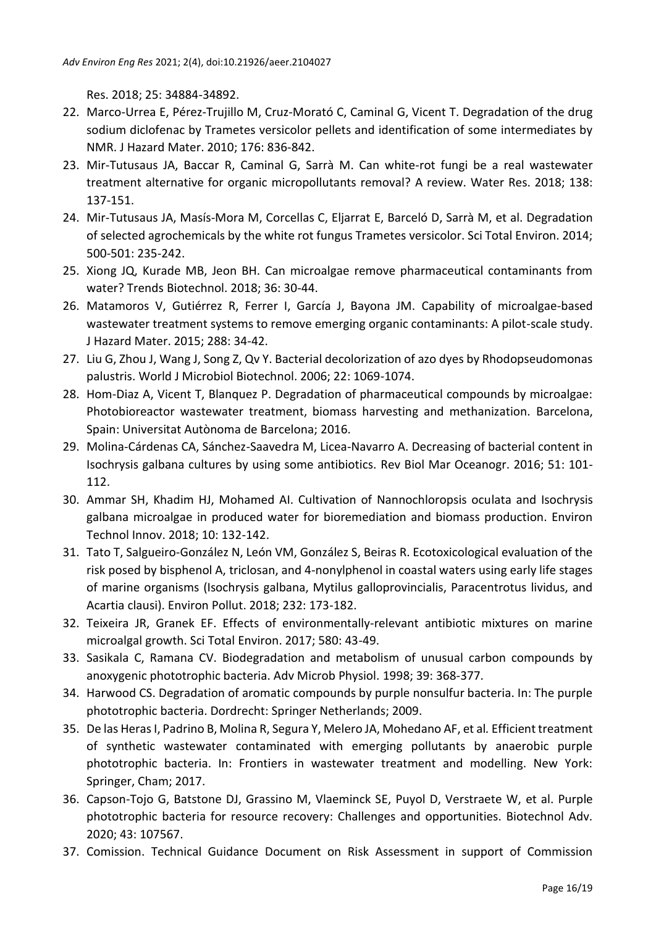Res. 2018; 25: 34884-34892.

- 22. Marco-Urrea E, Pérez-Trujillo M, Cruz-Morató C, Caminal G, Vicent T. Degradation of the drug sodium diclofenac by Trametes versicolor pellets and identification of some intermediates by NMR. J Hazard Mater. 2010; 176: 836-842.
- 23. Mir-Tutusaus JA, Baccar R, Caminal G, Sarrà M. Can white-rot fungi be a real wastewater treatment alternative for organic micropollutants removal? A review. Water Res. 2018; 138: 137-151.
- 24. Mir-Tutusaus JA, Masís-Mora M, Corcellas C, Eljarrat E, Barceló D, Sarrà M, et al. Degradation of selected agrochemicals by the white rot fungus Trametes versicolor. Sci Total Environ. 2014; 500-501: 235-242.
- 25. Xiong JQ, Kurade MB, Jeon BH. Can microalgae remove pharmaceutical contaminants from water? Trends Biotechnol. 2018; 36: 30-44.
- 26. Matamoros V, Gutiérrez R, Ferrer I, García J, Bayona JM. Capability of microalgae-based wastewater treatment systems to remove emerging organic contaminants: A pilot-scale study. J Hazard Mater. 2015; 288: 34-42.
- 27. Liu G, Zhou J, Wang J, Song Z, Qv Y. Bacterial decolorization of azo dyes by Rhodopseudomonas palustris. World J Microbiol Biotechnol. 2006; 22: 1069-1074.
- 28. Hom-Diaz A, Vicent T, Blanquez P. Degradation of pharmaceutical compounds by microalgae: Photobioreactor wastewater treatment, biomass harvesting and methanization. Barcelona, Spain: Universitat Autònoma de Barcelona; 2016.
- 29. Molina-Cárdenas CA, Sánchez-Saavedra M, Licea-Navarro A. Decreasing of bacterial content in Isochrysis galbana cultures by using some antibiotics. Rev Biol Mar Oceanogr. 2016; 51: 101- 112.
- 30. Ammar SH, Khadim HJ, Mohamed AI. Cultivation of Nannochloropsis oculata and Isochrysis galbana microalgae in produced water for bioremediation and biomass production. Environ Technol Innov. 2018; 10: 132-142.
- 31. Tato T, Salgueiro-González N, León VM, González S, Beiras R. Ecotoxicological evaluation of the risk posed by bisphenol A, triclosan, and 4-nonylphenol in coastal waters using early life stages of marine organisms (Isochrysis galbana, Mytilus galloprovincialis, Paracentrotus lividus, and Acartia clausi). Environ Pollut. 2018; 232: 173-182.
- 32. Teixeira JR, Granek EF. Effects of environmentally-relevant antibiotic mixtures on marine microalgal growth. Sci Total Environ. 2017; 580: 43-49.
- 33. Sasikala C, Ramana CV. Biodegradation and metabolism of unusual carbon compounds by anoxygenic phototrophic bacteria. Adv Microb Physiol. 1998; 39: 368-377.
- 34. Harwood CS. Degradation of aromatic compounds by purple nonsulfur bacteria. In: The purple phototrophic bacteria. Dordrecht: Springer Netherlands; 2009.
- 35. De las Heras I, Padrino B, Molina R, Segura Y, Melero JA, Mohedano AF, et al*.* Efficient treatment of synthetic wastewater contaminated with emerging pollutants by anaerobic purple phototrophic bacteria. In: Frontiers in wastewater treatment and modelling. New York: Springer, Cham; 2017.
- 36. Capson-Tojo G, Batstone DJ, Grassino M, Vlaeminck SE, Puyol D, Verstraete W, et al. Purple phototrophic bacteria for resource recovery: Challenges and opportunities. Biotechnol Adv. 2020; 43: 107567.
- 37. Comission. Technical Guidance Document on Risk Assessment in support of Commission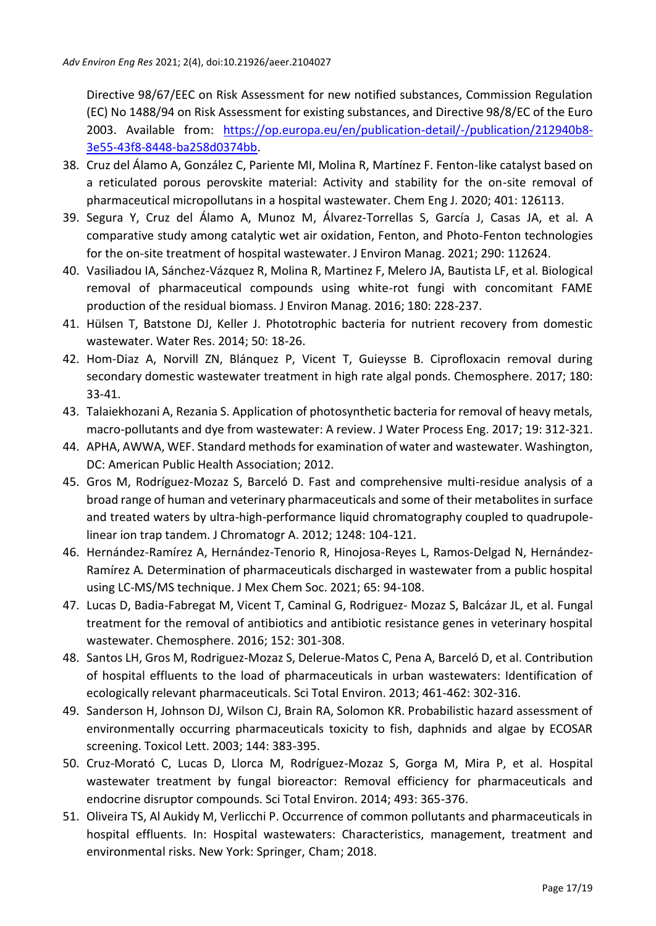Directive 98/67/EEC on Risk Assessment for new notified substances, Commission Regulation (EC) No 1488/94 on Risk Assessment for existing substances, and Directive 98/8/EC of the Euro 2003. Available from: [https://op.europa.eu/en/publication-detail/-/publication/212940b8-](https://op.europa.eu/en/publication-detail/-/publication/212940b8-3e55-43f8-8448-ba258d0374bb) [3e55-43f8-8448-ba258d0374bb.](https://op.europa.eu/en/publication-detail/-/publication/212940b8-3e55-43f8-8448-ba258d0374bb)

- 38. Cruz del Álamo A, González C, Pariente MI, Molina R, Martínez F. Fenton-like catalyst based on a reticulated porous perovskite material: Activity and stability for the on-site removal of pharmaceutical micropollutans in a hospital wastewater. Chem Eng J. 2020; 401: 126113.
- 39. Segura Y, Cruz del Álamo A, Munoz M, Álvarez-Torrellas S, García J, Casas JA, et al*.* A comparative study among catalytic wet air oxidation, Fenton, and Photo-Fenton technologies for the on-site treatment of hospital wastewater. J Environ Manag. 2021; 290: 112624.
- 40. Vasiliadou IA, Sánchez-Vázquez R, Molina R, Martinez F, Melero JA, Bautista LF, et al*.* Biological removal of pharmaceutical compounds using white-rot fungi with concomitant FAME production of the residual biomass. J Environ Manag. 2016; 180: 228-237.
- 41. Hülsen T, Batstone DJ, Keller J. Phototrophic bacteria for nutrient recovery from domestic wastewater. Water Res. 2014; 50: 18-26.
- 42. Hom-Diaz A, Norvill ZN, Blánquez P, Vicent T, Guieysse B. Ciprofloxacin removal during secondary domestic wastewater treatment in high rate algal ponds. Chemosphere. 2017; 180: 33-41.
- 43. Talaiekhozani A, Rezania S. Application of photosynthetic bacteria for removal of heavy metals, macro-pollutants and dye from wastewater: A review. J Water Process Eng. 2017; 19: 312-321.
- 44. APHA, AWWA, WEF. Standard methods for examination of water and wastewater. Washington, DC: American Public Health Association; 2012.
- 45. Gros M, Rodríguez-Mozaz S, Barceló D. Fast and comprehensive multi-residue analysis of a broad range of human and veterinary pharmaceuticals and some of their metabolites in surface and treated waters by ultra-high-performance liquid chromatography coupled to quadrupolelinear ion trap tandem. J Chromatogr A. 2012; 1248: 104-121.
- 46. Hernández-Ramírez A, Hernández-Tenorio R, Hinojosa-Reyes L, Ramos-Delgad N, Hernández-Ramírez A*.* Determination of pharmaceuticals discharged in wastewater from a public hospital using LC-MS/MS technique. J Mex Chem Soc. 2021; 65: 94-108.
- 47. Lucas D, Badia-Fabregat M, Vicent T, Caminal G, Rodriguez- Mozaz S, Balcázar JL, et al. Fungal treatment for the removal of antibiotics and antibiotic resistance genes in veterinary hospital wastewater. Chemosphere. 2016; 152: 301-308.
- 48. Santos LH, Gros M, Rodriguez-Mozaz S, Delerue-Matos C, Pena A, Barceló D, et al. Contribution of hospital effluents to the load of pharmaceuticals in urban wastewaters: Identification of ecologically relevant pharmaceuticals. Sci Total Environ. 2013; 461-462: 302-316.
- 49. Sanderson H, Johnson DJ, Wilson CJ, Brain RA, Solomon KR. Probabilistic hazard assessment of environmentally occurring pharmaceuticals toxicity to fish, daphnids and algae by ECOSAR screening. Toxicol Lett. 2003; 144: 383-395.
- 50. Cruz-Morató C, Lucas D, Llorca M, Rodríguez-Mozaz S, Gorga M, Mira P, et al. Hospital wastewater treatment by fungal bioreactor: Removal efficiency for pharmaceuticals and endocrine disruptor compounds. Sci Total Environ. 2014; 493: 365-376.
- 51. Oliveira TS, Al Aukidy M, Verlicchi P. Occurrence of common pollutants and pharmaceuticals in hospital effluents. In: Hospital wastewaters: Characteristics, management, treatment and environmental risks. New York: Springer, Cham; 2018.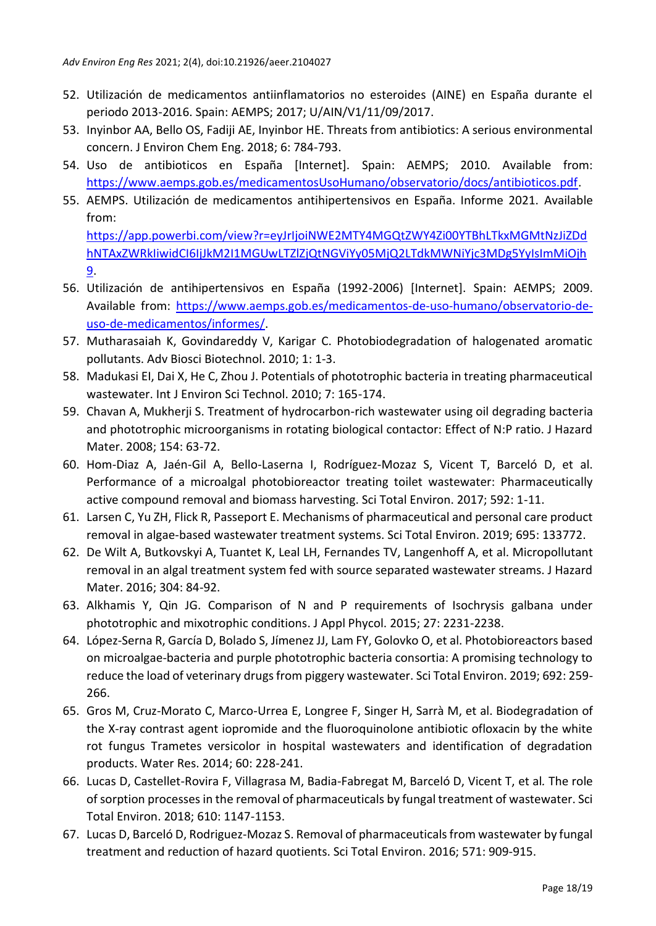- 52. Utilización de medicamentos antiinflamatorios no esteroides (AINE) en España durante el periodo 2013-2016. Spain: AEMPS; 2017; U/AIN/V1/11/09/2017.
- 53. Inyinbor AA, Bello OS, Fadiji AE, Inyinbor HE. Threats from antibiotics: A serious environmental concern. J Environ Chem Eng. 2018; 6: 784-793.
- 54. Uso de antibioticos en España [Internet]. Spain: AEMPS; 2010. Available from: [https://www.aemps.gob.es/medicamentosUsoHumano/observatorio/docs/antibioticos.pdf.](https://www.aemps.gob.es/medicamentosUsoHumano/observatorio/docs/antibioticos.pdf)
- 55. AEMPS. Utilización de medicamentos antihipertensivos en España. Informe 2021. Available from:

[https://app.powerbi.com/view?r=eyJrIjoiNWE2MTY4MGQtZWY4Zi00YTBhLTkxMGMtNzJiZDd](https://app.powerbi.com/view?r=eyJrIjoiNWE2MTY4MGQtZWY4Zi00YTBhLTkxMGMtNzJiZDdhNTAxZWRkIiwidCI6IjJkM2I1MGUwLTZlZjQtNGViYy05MjQ2LTdkMWNiYjc3MDg5YyIsImMiOjh9) [hNTAxZWRkIiwidCI6IjJkM2I1MGUwLTZlZjQtNGViYy05MjQ2LTdkMWNiYjc3MDg5YyIsImMiOjh](https://app.powerbi.com/view?r=eyJrIjoiNWE2MTY4MGQtZWY4Zi00YTBhLTkxMGMtNzJiZDdhNTAxZWRkIiwidCI6IjJkM2I1MGUwLTZlZjQtNGViYy05MjQ2LTdkMWNiYjc3MDg5YyIsImMiOjh9) [9.](https://app.powerbi.com/view?r=eyJrIjoiNWE2MTY4MGQtZWY4Zi00YTBhLTkxMGMtNzJiZDdhNTAxZWRkIiwidCI6IjJkM2I1MGUwLTZlZjQtNGViYy05MjQ2LTdkMWNiYjc3MDg5YyIsImMiOjh9)

- 56. Utilización de antihipertensivos en España (1992-2006) [Internet]. Spain: AEMPS; 2009. Available from: [https://www.aemps.gob.es/medicamentos-de-uso-humano/observatorio-de](https://www.aemps.gob.es/medicamentos-de-uso-humano/observatorio-de-uso-de-medicamentos/informes/)[uso-de-medicamentos/informes/.](https://www.aemps.gob.es/medicamentos-de-uso-humano/observatorio-de-uso-de-medicamentos/informes/)
- 57. Mutharasaiah K, Govindareddy V, Karigar C. Photobiodegradation of halogenated aromatic pollutants. Adv Biosci Biotechnol. 2010; 1: 1-3.
- 58. Madukasi EI, Dai X, He C, Zhou J. Potentials of phototrophic bacteria in treating pharmaceutical wastewater. Int J Environ Sci Technol. 2010; 7: 165-174.
- 59. Chavan A, Mukherji S. Treatment of hydrocarbon-rich wastewater using oil degrading bacteria and phototrophic microorganisms in rotating biological contactor: Effect of N:P ratio. J Hazard Mater. 2008; 154: 63-72.
- 60. Hom-Diaz A, Jaén-Gil A, Bello-Laserna I, Rodríguez-Mozaz S, Vicent T, Barceló D, et al. Performance of a microalgal photobioreactor treating toilet wastewater: Pharmaceutically active compound removal and biomass harvesting. Sci Total Environ. 2017; 592: 1-11.
- 61. Larsen C, Yu ZH, Flick R, Passeport E. Mechanisms of pharmaceutical and personal care product removal in algae-based wastewater treatment systems. Sci Total Environ. 2019; 695: 133772.
- 62. De Wilt A, Butkovskyi A, Tuantet K, Leal LH, Fernandes TV, Langenhoff A, et al. Micropollutant removal in an algal treatment system fed with source separated wastewater streams. J Hazard Mater. 2016; 304: 84-92.
- 63. Alkhamis Y, Qin JG. Comparison of N and P requirements of Isochrysis galbana under phototrophic and mixotrophic conditions. J Appl Phycol. 2015; 27: 2231-2238.
- 64. López-Serna R, García D, Bolado S, Jímenez JJ, Lam FY, Golovko O, et al. Photobioreactors based on microalgae-bacteria and purple phototrophic bacteria consortia: A promising technology to reduce the load of veterinary drugs from piggery wastewater. Sci Total Environ. 2019; 692: 259- 266.
- 65. Gros M, Cruz-Morato C, Marco-Urrea E, Longree F, Singer H, Sarrà M, et al. Biodegradation of the X-ray contrast agent iopromide and the fluoroquinolone antibiotic ofloxacin by the white rot fungus Trametes versicolor in hospital wastewaters and identification of degradation products. Water Res. 2014; 60: 228-241.
- 66. Lucas D, Castellet-Rovira F, Villagrasa M, Badia-Fabregat M, Barceló D, Vicent T, et al*.* The role of sorption processes in the removal of pharmaceuticals by fungal treatment of wastewater. Sci Total Environ. 2018; 610: 1147-1153.
- 67. Lucas D, Barceló D, Rodriguez-Mozaz S. Removal of pharmaceuticals from wastewater by fungal treatment and reduction of hazard quotients. Sci Total Environ. 2016; 571: 909-915.